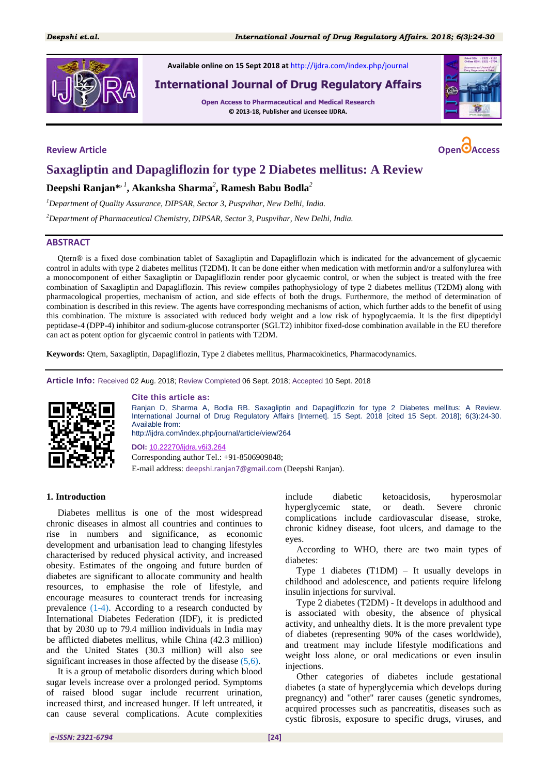

**Available online on 15 Sept 2018 at** <http://ijdra.com/index.php/journal>

# **International Journal of Drug Regulatory Affairs**

**Open Access to Pharmaceutical and Medical Research © 2013-18, Publisher and Licensee IJDRA.**





# **Saxagliptin and Dapagliflozin for type 2 Diabetes mellitus: A Review**

# **Deepshi Ranjan\*,** *<sup>1</sup>* **, Akanksha Sharma***<sup>2</sup>* **, Ramesh Babu Bodla***<sup>2</sup>*

*<sup>1</sup>Department of Quality Assurance, DIPSAR, Sector 3, Puspvihar, New Delhi, India.*

*<sup>2</sup>Department of Pharmaceutical Chemistry, DIPSAR, Sector 3, Puspvihar, New Delhi, India.*

# **ABSTRACT**

Qtern® is a fixed dose combination tablet of Saxagliptin and Dapagliflozin which is indicated for the advancement of glycaemic control in adults with type 2 diabetes mellitus (T2DM). It can be done either when medication with metformin and/or a sulfonylurea with a monocomponent of either Saxagliptin or Dapagliflozin render poor glycaemic control, or when the subject is treated with the free combination of Saxagliptin and Dapagliflozin. This review compiles pathophysiology of type 2 diabetes mellitus (T2DM) along with pharmacological properties, mechanism of action, and side effects of both the drugs. Furthermore, the method of determination of combination is described in this review. The agents have corresponding mechanisms of action, which further adds to the benefit of using this combination. The mixture is associated with reduced body weight and a low risk of hypoglycaemia. It is the first dipeptidyl peptidase-4 (DPP-4) inhibitor and sodium-glucose cotransporter (SGLT2) inhibitor fixed-dose combination available in the EU therefore can act as potent option for glycaemic control in patients with T2DM.

**Keywords:** Qtern, Saxagliptin, Dapagliflozin, Type 2 diabetes mellitus, Pharmacokinetics, Pharmacodynamics.

**Article Info:** Received 02 Aug. 2018; Review Completed 06 Sept. 2018; Accepted 10 Sept. 2018



#### **Cite this article as:**

Ranjan D, Sharma A, Bodla RB. Saxagliptin and Dapagliflozin for type 2 Diabetes mellitus: A Review. International Journal of Drug Regulatory Affairs [Internet]. 15 Sept. 2018 [cited 15 Sept. 2018]; 6(3):24-30. Available from: http://ijdra.com/index.php/journal/article/view/264

**DOI:** [10.22270/ijdra.v6i3.264](https://doi.org/10.22270/ijdra.v6i3.264) Corresponding author Tel.: +91-8506909848;

E-mail address: deepshi.ranjan7@gmail.com (Deepshi Ranjan).

#### **1. Introduction**

Diabetes mellitus is one of the most widespread chronic diseases in almost all countries and continues to rise in numbers and significance, as economic development and urbanisation lead to changing lifestyles characterised by reduced physical activity, and increased obesity. Estimates of the ongoing and future burden of diabetes are significant to allocate community and health resources, to emphasise the role of lifestyle, and encourage measures to counteract trends for increasing prevalence [\(1](#page-5-0)[-4\)](#page-5-1). According to a research conducted by International Diabetes Federation (IDF), it is predicted that by 2030 up to 79.4 million individuals in India may be afflicted diabetes mellitus, while China (42.3 million) and the United States (30.3 million) will also see significant increases in those affected by the disease [\(5](#page-5-2)[,6\)](#page-5-3).

It is a group of metabolic disorders during which blood sugar levels increase over a prolonged period. Symptoms of raised blood sugar include recurrent urination, increased thirst, and increased hunger. If left untreated, it can cause several complications. Acute complexities

include diabetic ketoacidosis, hyperosmolar hyperglycemic state, or death. Severe chronic complications include cardiovascular disease, stroke, chronic kidney disease, foot ulcers, and damage to the eyes.

According to WHO, there are two main types of diabetes:

Type 1 diabetes (T1DM) – It usually develops in childhood and adolescence, and patients require lifelong insulin injections for survival.

Type 2 diabetes (T2DM) - It develops in adulthood and is associated with obesity, the absence of physical activity, and unhealthy diets. It is the more prevalent type of diabetes (representing 90% of the cases worldwide), and treatment may include lifestyle modifications and weight loss alone, or oral medications or even insulin injections.

Other categories of diabetes include gestational diabetes (a state of hyperglycemia which develops during pregnancy) and "other" rarer causes (genetic syndromes, acquired processes such as pancreatitis, diseases such as cystic fibrosis, exposure to specific drugs, viruses, and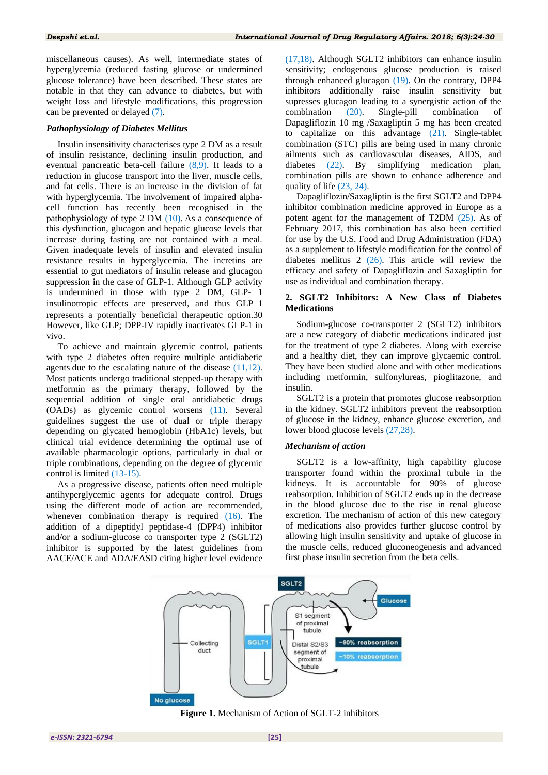miscellaneous causes). As well, intermediate states of hyperglycemia (reduced fasting glucose or undermined glucose tolerance) have been described. These states are notable in that they can advance to diabetes, but with weight loss and lifestyle modifications, this progression can be prevented or delayed [\(7\)](#page-5-4).

# *Pathophysiology of Diabetes Mellitus*

Insulin insensitivity characterises type 2 DM as a result of insulin resistance, declining insulin production, and eventual pancreatic beta-cell failure [\(8,](#page-5-5)[9\)](#page-5-6). It leads to a reduction in glucose transport into the liver, muscle cells, and fat cells. There is an increase in the division of fat with hyperglycemia. The involvement of impaired alphacell function has recently been recognised in the pathophysiology of type 2 DM [\(10\)](#page-5-7). As a consequence of this dysfunction, glucagon and hepatic glucose levels that increase during fasting are not contained with a meal. Given inadequate levels of insulin and elevated insulin resistance results in hyperglycemia. The incretins are essential to gut mediators of insulin release and glucagon suppression in the case of GLP-1. Although GLP activity is undermined in those with type 2 DM, GLP- 1 insulinotropic effects are preserved, and thus GLP‑1 represents a potentially beneficial therapeutic option.30 However, like GLP; DPP-IV rapidly inactivates GLP-1 in vivo.

To achieve and maintain glycemic control, patients with type 2 diabetes often require multiple antidiabetic agents due to the escalating nature of the disease [\(11](#page-5-8)[,12\)](#page-5-9). Most patients undergo traditional stepped-up therapy with metformin as the primary therapy, followed by the sequential addition of single oral antidiabetic drugs (OADs) as glycemic control worsens [\(11\)](#page-5-8). Several guidelines suggest the use of dual or triple therapy depending on glycated hemoglobin (HbA1c) levels, but clinical trial evidence determining the optimal use of available pharmacologic options, particularly in dual or triple combinations, depending on the degree of glycemic control is limited [\(13-](#page-5-10)[15\)](#page-6-0).

As a progressive disease, patients often need multiple antihyperglycemic agents for adequate control. Drugs using the different mode of action are recommended, whenever combination therapy is required [\(16\)](#page-6-1). The addition of a dipeptidyl peptidase-4 (DPP4) inhibitor and/or a sodium-glucose co transporter type 2 (SGLT2) inhibitor is supported by the latest guidelines from AACE/ACE and ADA/EASD citing higher level evidence

[\(17,](#page-6-2)[18\)](#page-6-3). Although SGLT2 inhibitors can enhance insulin sensitivity; endogenous glucose production is raised through enhanced glucagon [\(19\)](#page-6-4). On the contrary, DPP4 inhibitors additionally raise insulin sensitivity but supresses glucagon leading to a synergistic action of the combination [\(20\)](#page-6-5). Single-pill combination of Dapagliflozin 10 mg /Saxagliptin 5 mg has been created to capitalize on this advantage [\(21\)](#page-6-6). Single-tablet combination (STC) pills are being used in many chronic ailments such as cardiovascular diseases, AIDS, and diabetes [\(22\)](#page-6-7). By simplifying medication plan, combination pills are shown to enhance adherence and quality of life [\(23,](#page-6-8) [24\)](#page-6-9).

Dapagliflozin/Saxagliptin is the first SGLT2 and DPP4 inhibitor combination medicine approved in Europe as a potent agent for the management of T2DM [\(25\)](#page-6-10). As of February 2017, this combination has also been certified for use by the U.S. Food and Drug Administration (FDA) as a supplement to lifestyle modification for the control of diabetes mellitus 2 [\(26\)](#page-6-11). This article will review the efficacy and safety of Dapagliflozin and Saxagliptin for use as individual and combination therapy.

# **2. SGLT2 Inhibitors: A New Class of Diabetes Medications**

Sodium-glucose co-transporter 2 (SGLT2) inhibitors are a new category of diabetic medications indicated just for the treatment of type 2 diabetes. Along with exercise and a healthy diet, they can improve glycaemic control. They have been studied alone and with other medications including metformin, sulfonylureas, pioglitazone, and insulin.

SGLT2 is a protein that promotes glucose reabsorption in the kidney. SGLT2 inhibitors prevent the reabsorption of glucose in the kidney, enhance glucose excretion, and lower blood glucose levels [\(27](#page-6-12)[,28\)](#page-6-13).

### *Mechanism of action*

SGLT2 is a low-affinity, high capability glucose transporter found within the proximal tubule in the kidneys. It is accountable for 90% of glucose reabsorption. Inhibition of SGLT2 ends up in the decrease in the blood glucose due to the rise in renal glucose excretion. The mechanism of action of this new category of medications also provides further glucose control by allowing high insulin sensitivity and uptake of glucose in the muscle cells, reduced gluconeogenesis and advanced first phase insulin secretion from the beta cells.



**Figure 1.** Mechanism of Action of SGLT-2 inhibitors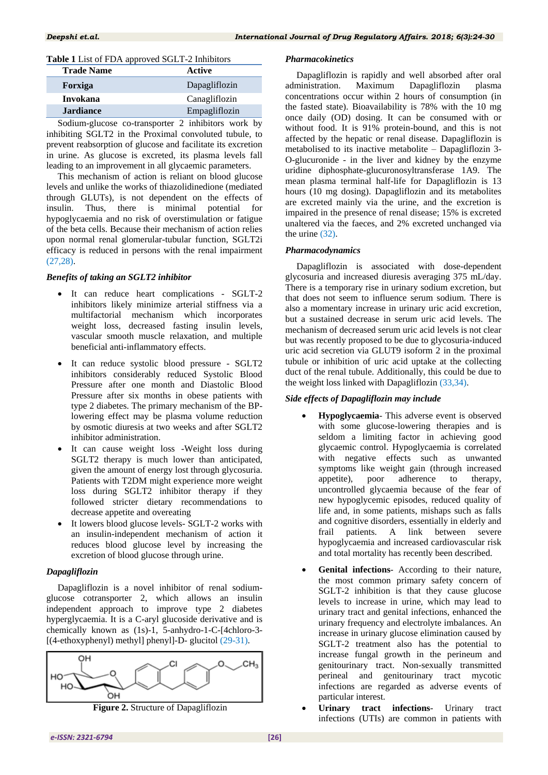# **Table 1** List of FDA approved SGLT-2 Inhibitors

| <b>Trade Name</b> | Active        |
|-------------------|---------------|
| Forxiga           | Dapagliflozin |
| <b>Invokana</b>   | Canagliflozin |
| <b>Jardiance</b>  | Empagliflozin |
|                   | _ _ _ _ _     |

Sodium-glucose co-transporter 2 inhibitors work by inhibiting SGLT2 in the Proximal convoluted tubule, to prevent reabsorption of glucose and facilitate its excretion in urine. As glucose is excreted, its plasma levels fall leading to an improvement in all glycaemic parameters.

This mechanism of action is reliant on blood glucose levels and unlike the works of thiazolidinedione (mediated through GLUTs), is not dependent on the effects of insulin. Thus, there is minimal potential for hypoglycaemia and no risk of overstimulation or fatigue of the beta cells. Because their mechanism of action relies upon normal renal glomerular-tubular function, SGLT2i efficacy is reduced in persons with the renal impairment [\(27](#page-6-12)[,28\)](#page-6-13).

# *Benefits of taking an SGLT2 inhibitor*

- It can reduce heart complications SGLT-2 inhibitors likely minimize arterial stiffness via a multifactorial mechanism which incorporates weight loss, decreased fasting insulin levels, vascular smooth muscle relaxation, and multiple beneficial anti-inflammatory effects.
- It can reduce systolic blood pressure SGLT2 inhibitors considerably reduced Systolic Blood Pressure after one month and Diastolic Blood Pressure after six months in obese patients with type 2 diabetes. The primary mechanism of the BPlowering effect may be plasma volume reduction by osmotic diuresis at two weeks and after SGLT2 inhibitor administration.
- It can cause weight loss -Weight loss during SGLT2 therapy is much lower than anticipated, given the amount of energy lost through glycosuria. Patients with T2DM might experience more weight loss during SGLT2 inhibitor therapy if they followed stricter dietary recommendations to decrease appetite and overeating
- It lowers blood glucose levels- SGLT-2 works with an insulin-independent mechanism of action it reduces blood glucose level by increasing the excretion of blood glucose through urine.

# *Dapagliflozin*

Dapagliflozin is a novel inhibitor of renal sodiumglucose cotransporter 2, which allows an insulin independent approach to improve type 2 diabetes hyperglycaemia. It is a C-aryl glucoside derivative and is chemically known as (1s)-1, 5-anhydro-1-C-[4chloro-3- [(4-ethoxyphenyl) methyl] phenyl]-D- glucitol [\(29-](#page-6-14)[31\)](#page-6-15).



**Figure 2.** Structure of Dapagliflozin

# *Pharmacokinetics*

Dapagliflozin is rapidly and well absorbed after oral administration. Maximum Dapagliflozin plasma concentrations occur within 2 hours of consumption (in the fasted state). Bioavailability is 78% with the 10 mg once daily (OD) dosing. It can be consumed with or without food. It is 91% protein-bound, and this is not affected by the hepatic or renal disease. Dapagliflozin is metabolised to its inactive metabolite – Dapagliflozin 3- O-glucuronide - in the liver and kidney by the enzyme uridine diphosphate-glucuronosyltransferase 1A9. The mean plasma terminal half-life for Dapagliflozin is 13 hours (10 mg dosing). Dapagliflozin and its metabolites are excreted mainly via the urine, and the excretion is impaired in the presence of renal disease; 15% is excreted unaltered via the faeces, and 2% excreted unchanged via the urine [\(32\)](#page-6-16).

# *Pharmacodynamics*

Dapagliflozin is associated with dose-dependent glycosuria and increased diuresis averaging 375 mL/day. There is a temporary rise in urinary sodium excretion, but that does not seem to influence serum sodium. There is also a momentary increase in urinary uric acid excretion, but a sustained decrease in serum uric acid levels. The mechanism of decreased serum uric acid levels is not clear but was recently proposed to be due to glycosuria-induced uric acid secretion via GLUT9 isoform 2 in the proximal tubule or inhibition of uric acid uptake at the collecting duct of the renal tubule. Additionally, this could be due to the weight loss linked with Dapagliflozin [\(33](#page-6-17)[,34\)](#page-6-18).

# *Side effects of Dapagliflozin may include*

- **Hypoglycaemia** This adverse event is observed with some glucose-lowering therapies and is seldom a limiting factor in achieving good glycaemic control. Hypoglycaemia is correlated with negative effects such as unwanted symptoms like weight gain (through increased appetite), poor adherence to therapy, uncontrolled glycaemia because of the fear of new hypoglycemic episodes, reduced quality of life and, in some patients, mishaps such as falls and cognitive disorders, essentially in elderly and frail patients. A link between severe hypoglycaemia and increased cardiovascular risk and total mortality has recently been described.
- **Genital infections** According to their nature, the most common primary safety concern of SGLT-2 inhibition is that they cause glucose levels to increase in urine, which may lead to urinary tract and genital infections, enhanced the urinary frequency and electrolyte imbalances. An increase in urinary glucose elimination caused by SGLT-2 treatment also has the potential to increase fungal growth in the perineum and genitourinary tract. Non-sexually transmitted perineal and genitourinary tract mycotic infections are regarded as adverse events of particular interest.
- **Urinary tract infections** Urinary tract infections (UTIs) are common in patients with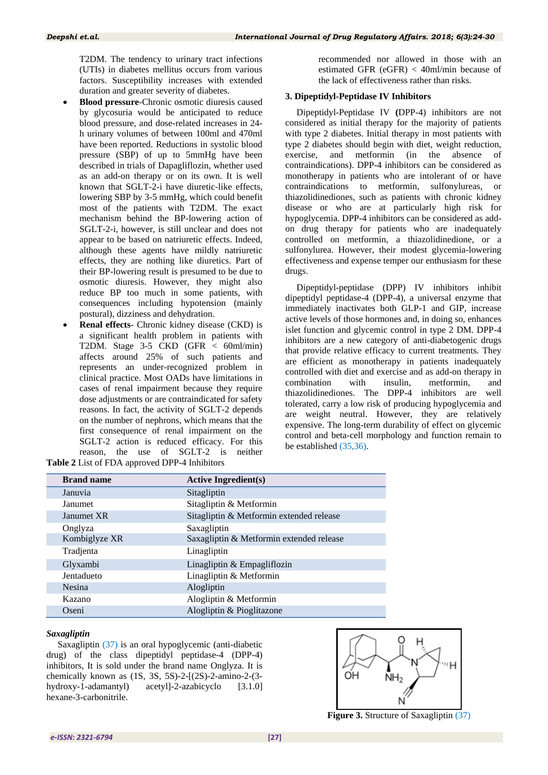T2DM. The tendency to urinary tract infections (UTIs) in diabetes mellitus occurs from various factors. Susceptibility increases with extended duration and greater severity of diabetes.

- **Blood pressure**-Chronic osmotic diuresis caused by glycosuria would be anticipated to reduce blood pressure, and dose-related increases in 24 h urinary volumes of between 100ml and 470ml have been reported. Reductions in systolic blood pressure (SBP) of up to 5mmHg have been described in trials of Dapagliflozin, whether used as an add-on therapy or on its own. It is well known that SGLT-2-i have diuretic-like effects, lowering SBP by 3-5 mmHg, which could benefit most of the patients with T2DM. The exact mechanism behind the BP-lowering action of SGLT-2-i, however, is still unclear and does not appear to be based on natriuretic effects. Indeed, although these agents have mildly natriuretic effects, they are nothing like diuretics. Part of their BP-lowering result is presumed to be due to osmotic diuresis. However, they might also reduce BP too much in some patients, with consequences including hypotension (mainly postural), dizziness and dehydration.
- **Renal effects** Chronic kidney disease (CKD) is a significant health problem in patients with T2DM. Stage 3-5 CKD (GFR < 60ml/min) affects around 25% of such patients and represents an under-recognized problem in clinical practice. Most OADs have limitations in cases of renal impairment because they require dose adjustments or are contraindicated for safety reasons. In fact, the activity of SGLT-2 depends on the number of nephrons, which means that the first consequence of renal impairment on the SGLT-2 action is reduced efficacy. For this reason, the use of SGLT-2 is neither **Table 2** List of FDA approved DPP-4 Inhibitors

| recommended nor allowed in those with an     |  |  |  |  |  |  |
|----------------------------------------------|--|--|--|--|--|--|
| estimated GFR (eGFR) $<$ 40ml/min because of |  |  |  |  |  |  |
| the lack of effectiveness rather than risks. |  |  |  |  |  |  |

#### **3. Dipeptidyl-Peptidase IV Inhibitors**

Dipeptidyl-Peptidase IV **(**DPP-4) inhibitors are not considered as initial therapy for the majority of patients with type 2 diabetes. Initial therapy in most patients with type 2 diabetes should begin with diet, weight reduction, exercise, and metformin (in the absence of contraindications). DPP-4 inhibitors can be considered as monotherapy in patients who are intolerant of or have contraindications to metformin, sulfonylureas, or thiazolidinediones, such as patients with chronic kidney disease or who are at particularly high risk for hypoglycemia. DPP-4 inhibitors can be considered as addon drug therapy for patients who are inadequately controlled on metformin, a thiazolidinedione, or a sulfonylurea. However, their modest glycemia-lowering effectiveness and expense temper our enthusiasm for these drugs.

Dipeptidyl-peptidase (DPP) IV inhibitors inhibit dipeptidyl peptidase-4 (DPP-4), a universal enzyme that immediately inactivates both GLP-1 and GIP, increase active levels of those hormones and, in doing so, enhances islet function and glycemic control in type 2 DM. DPP-4 inhibitors are a new category of anti-diabetogenic drugs that provide relative efficacy to current treatments. They are efficient as monotherapy in patients inadequately controlled with diet and exercise and as add-on therapy in combination with insulin, metformin, and thiazolidinediones. The DPP-4 inhibitors are well tolerated, carry a low risk of producing hypoglycemia and are weight neutral. However, they are relatively expensive. The long-term durability of effect on glycemic control and beta-cell morphology and function remain to be established [\(35](#page-6-19)[,36\)](#page-6-20).

| <b>Brand name</b> | <b>Active Ingredient(s)</b>              |
|-------------------|------------------------------------------|
| Januvia           | Sitagliptin                              |
| Janumet           | Sitagliptin & Metformin                  |
| Janumet XR        | Sitagliptin & Metformin extended release |
| Onglyza           | Saxagliptin                              |
| Kombiglyze XR     | Saxagliptin & Metformin extended release |
| Tradjenta         | Linagliptin                              |
| Glyxambi          | Linagliptin & Empagliflozin              |
| Jentadueto        | Linagliptin & Metformin                  |
| Nesina            | Alogliptin                               |
| Kazano            | Alogliptin & Metformin                   |
| Oseni             | Alogliptin & Pioglitazone                |

#### *Saxagliptin*

Saxagliptin [\(37\)](#page-6-21) is an oral hypoglycemic (anti-diabetic drug) of the class dipeptidyl peptidase-4 (DPP-4) inhibitors, It is sold under the brand name Onglyza. It is chemically known as (1S, 3S, 5S)-2-[(2S)-2-amino-2-(3 hydroxy-1-adamantyl) acetyl]-2-azabicyclo [3.1.0] hexane-3-carbonitrile.



**Figure 3.** Structure of Saxagliptin [\(37\)](#page-6-21)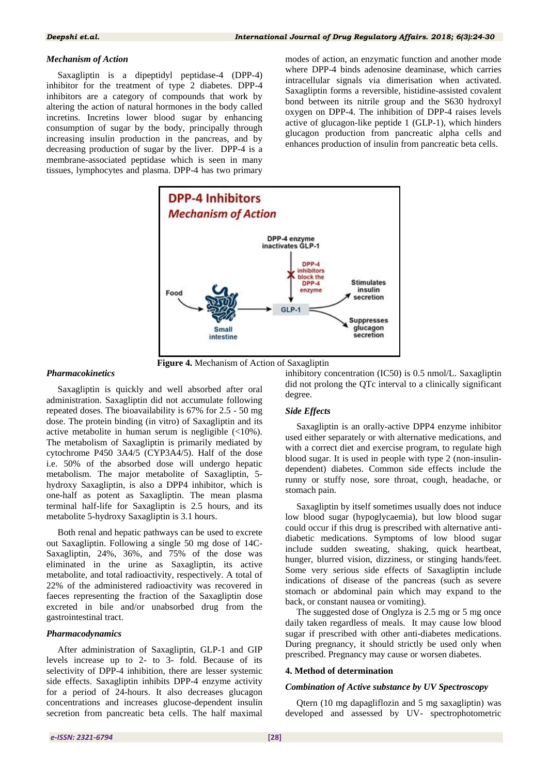# *Mechanism of Action*

Saxagliptin is a dipeptidyl peptidase-4 (DPP-4) inhibitor for the treatment of type 2 diabetes. DPP-4 inhibitors are a category of compounds that work by altering the action of natural hormones in the body called incretins. Incretins lower blood sugar by enhancing consumption of sugar by the body, principally through increasing insulin production in the pancreas, and by decreasing production of sugar by the liver. DPP-4 is a membrane-associated peptidase which is seen in many tissues, lymphocytes and plasma. DPP-4 has two primary

modes of action, an enzymatic function and another mode where DPP-4 binds adenosine deaminase, which carries intracellular signals via dimerisation when activated. Saxagliptin forms a reversible, histidine-assisted covalent bond between its nitrile group and the S630 hydroxyl oxygen on DPP-4. The inhibition of DPP-4 raises levels active of glucagon-like peptide 1 (GLP-1), which hinders glucagon production from pancreatic alpha cells and enhances production of insulin from pancreatic beta cells.





### *Pharmacokinetics*

Saxagliptin is quickly and well absorbed after oral administration. Saxagliptin did not accumulate following repeated doses. The bioavailability is 67% for 2.5 - 50 mg dose. The protein binding (in vitro) of Saxagliptin and its active metabolite in human serum is negligible (<10%). The metabolism of Saxagliptin is primarily mediated by cytochrome P450 3A4/5 (CYP3A4/5). Half of the dose i.e. 50% of the absorbed dose will undergo hepatic metabolism. The major metabolite of Saxagliptin, 5 hydroxy Saxagliptin, is also a DPP4 inhibitor, which is one-half as potent as Saxagliptin. The mean plasma terminal half-life for Saxagliptin is 2.5 hours, and its metabolite 5-hydroxy Saxagliptin is 3.1 hours.

Both renal and hepatic pathways can be used to excrete out Saxagliptin. Following a single 50 mg dose of 14C-Saxagliptin, 24%, 36%, and 75% of the dose was eliminated in the urine as Saxagliptin, its active metabolite, and total radioactivity, respectively. A total of 22% of the administered radioactivity was recovered in faeces representing the fraction of the Saxagliptin dose excreted in bile and/or unabsorbed drug from the gastrointestinal tract.

### *Pharmacodynamics*

After administration of Saxagliptin, GLP-1 and GIP levels increase up to 2- to 3- fold. Because of its selectivity of DPP-4 inhibition, there are lesser systemic side effects. Saxagliptin inhibits DPP-4 enzyme activity for a period of 24-hours. It also decreases glucagon concentrations and increases glucose-dependent insulin secretion from pancreatic beta cells. The half maximal

inhibitory concentration (IC50) is 0.5 nmol/L. Saxagliptin did not prolong the QTc interval to a clinically significant degree.

# *Side Effects*

Saxagliptin is an orally-active DPP4 enzyme inhibitor used either separately or with alternative medications, and with a correct diet and exercise program, to regulate high blood sugar. It is used in people with type 2 (non-insulindependent) diabetes. Common side effects include the runny or stuffy nose, sore throat, cough, headache, or stomach pain.

Saxagliptin by itself sometimes usually does not induce low blood sugar (hypoglycaemia), but low blood sugar could occur if this drug is prescribed with alternative antidiabetic medications. Symptoms of low blood sugar include sudden sweating, shaking, quick heartbeat, hunger, blurred vision, dizziness, or stinging hands/feet. Some very serious side effects of Saxagliptin include indications of disease of the pancreas (such as severe stomach or abdominal pain which may expand to the back, or constant nausea or vomiting).

The suggested dose of Onglyza is 2.5 mg or 5 mg once daily taken regardless of meals. It may cause low blood sugar if prescribed with other anti-diabetes medications. During pregnancy, it should strictly be used only when prescribed. Pregnancy may cause or worsen diabetes.

### **4. Method of determination**

# *Combination of Active substance by UV Spectroscopy*

Qtern (10 mg dapagliflozin and 5 mg saxagliptin) was developed and assessed by UV- spectrophotometric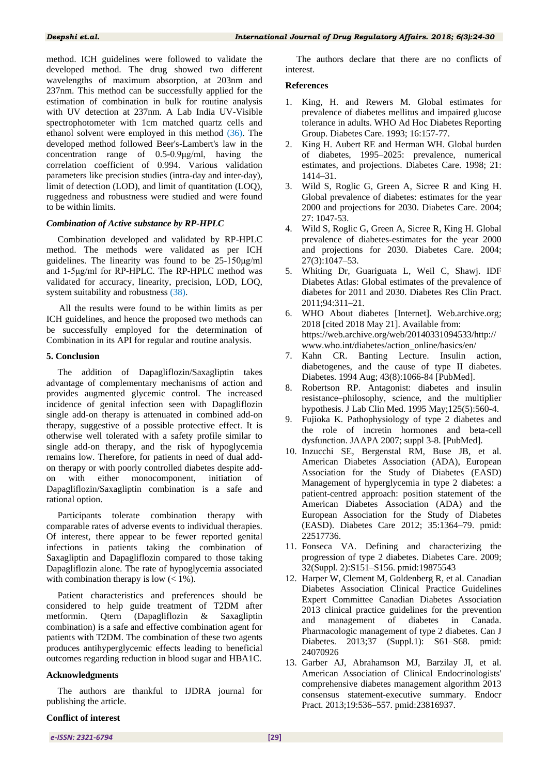method. ICH guidelines were followed to validate the developed method. The drug showed two different wavelengths of maximum absorption, at 203nm and 237nm. This method can be successfully applied for the estimation of combination in bulk for routine analysis with UV detection at 237nm. A Lab India UV-Visible spectrophotometer with 1cm matched quartz cells and ethanol solvent were employed in this method [\(36\)](#page-6-20). The developed method followed Beer's-Lambert's law in the concentration range of 0.5-0.9μg/ml, having the correlation coefficient of 0.994. Various validation parameters like precision studies (intra-day and inter-day), limit of detection (LOD), and limit of quantitation (LOQ), ruggedness and robustness were studied and were found to be within limits.

# *Combination of Active substance by RP-HPLC*

Combination developed and validated by RP-HPLC method. The methods were validated as per ICH guidelines. The linearity was found to be 25-150μg/ml and 1-5μg/ml for RP-HPLC. The RP-HPLC method was validated for accuracy, linearity, precision, LOD, LOQ, system suitability and robustness [\(38\)](#page-6-22).

All the results were found to be within limits as per ICH guidelines, and hence the proposed two methods can be successfully employed for the determination of Combination in its API for regular and routine analysis.

# **5. Conclusion**

The addition of Dapagliflozin/Saxagliptin takes advantage of complementary mechanisms of action and provides augmented glycemic control. The increased incidence of genital infection seen with Dapagliflozin single add-on therapy is attenuated in combined add-on therapy, suggestive of a possible protective effect. It is otherwise well tolerated with a safety profile similar to single add-on therapy, and the risk of hypoglycemia remains low. Therefore, for patients in need of dual addon therapy or with poorly controlled diabetes despite addon with either monocomponent, initiation of Dapagliflozin/Saxagliptin combination is a safe and rational option.

Participants tolerate combination therapy with comparable rates of adverse events to individual therapies. Of interest, there appear to be fewer reported genital infections in patients taking the combination of Saxagliptin and Dapagliflozin compared to those taking Dapagliflozin alone. The rate of hypoglycemia associated with combination therapy is low  $(< 1\%$ ).

Patient characteristics and preferences should be considered to help guide treatment of T2DM after metformin. Qtern (Dapagliflozin & Saxagliptin combination) is a safe and effective combination agent for patients with T2DM. The combination of these two agents produces antihyperglycemic effects leading to beneficial outcomes regarding reduction in blood sugar and HBA1C.

### **Acknowledgments**

The authors are thankful to IJDRA journal for publishing the article.

# **Conflict of interest**

The authors declare that there are no conflicts of interest.

# **References**

- <span id="page-5-0"></span>1. King, H. and Rewers M. Global estimates for prevalence of diabetes mellitus and impaired glucose tolerance in adults. WHO Ad Hoc Diabetes Reporting Group. Diabetes Care. 1993; 16:157-77.
- 2. King H. Aubert RE and Herman WH. Global burden of diabetes, 1995–2025: prevalence, numerical estimates, and projections. Diabetes Care. 1998; 21: 1414–31.
- 3. Wild S, Roglic G, Green A, Sicree R and King H. Global prevalence of diabetes: estimates for the year 2000 and projections for 2030. Diabetes Care. 2004; 27: 1047-53.
- <span id="page-5-1"></span>4. Wild S, Roglic G, Green A, Sicree R, King H. Global prevalence of diabetes-estimates for the year 2000 and projections for 2030. Diabetes Care. 2004; 27(3):1047–53.
- <span id="page-5-2"></span>5. Whiting Dr, Guariguata L, Weil C, Shawj. IDF Diabetes Atlas: Global estimates of the prevalence of diabetes for 2011 and 2030. Diabetes Res Clin Pract. 2011;94:311–21.
- <span id="page-5-3"></span>6. WHO About diabetes [Internet]. Web.archive.org; 2018 [cited 2018 May 21]. Available from: https://web.archive.org/web/20140331094533/http:// www.who.int/diabetes/action\_online/basics/en/
- <span id="page-5-4"></span>7. Kahn CR. Banting Lecture. Insulin action, diabetogenes, and the cause of type II diabetes. Diabetes. 1994 Aug; 43(8):1066-84 [\[PubMed\]](https://www.ncbi.nlm.nih.gov/pubmed/8039601).
- <span id="page-5-5"></span>8. Robertson RP. Antagonist: diabetes and insulin resistance–philosophy, science, and the multiplier hypothesis. J Lab Clin Med. 1995 May;125(5):560-4.
- <span id="page-5-6"></span>9. Fujioka K. Pathophysiology of type 2 diabetes and the role of incretin hormones and beta-cell dysfunction. JAAPA 2007; suppl 3-8. [\[PubMed\]](https://www.ncbi.nlm.nih.gov/pubmed/18217245).
- <span id="page-5-7"></span>10. Inzucchi SE, Bergenstal RM, Buse JB, et al. American Diabetes Association (ADA), European Association for the Study of Diabetes (EASD) Management of hyperglycemia in type 2 diabetes: a patient-centred approach: position statement of the American Diabetes Association (ADA) and the European Association for the Study of Diabetes (EASD). Diabetes Care 2012; 35:1364–79. pmid: 22517736.
- <span id="page-5-8"></span>11. Fonseca VA. Defining and characterizing the progression of type 2 diabetes. Diabetes Care. 2009; 32(Suppl. 2):S151–S156. pmid:19875543
- <span id="page-5-9"></span>12. Harper W, Clement M, Goldenberg R, et al. Canadian Diabetes Association Clinical Practice Guidelines Expert Committee Canadian Diabetes Association 2013 clinical practice guidelines for the prevention and management of diabetes in Canada. Pharmacologic management of type 2 diabetes. Can J Diabetes. 2013;37 (Suppl.1): S61–S68. pmid: 24070926
- <span id="page-5-10"></span>13. Garber AJ, Abrahamson MJ, Barzilay JI, et al. American Association of Clinical Endocrinologists' comprehensive diabetes management algorithm 2013 consensus statement-executive summary. Endocr Pract. 2013;19:536–557. pmid:23816937.